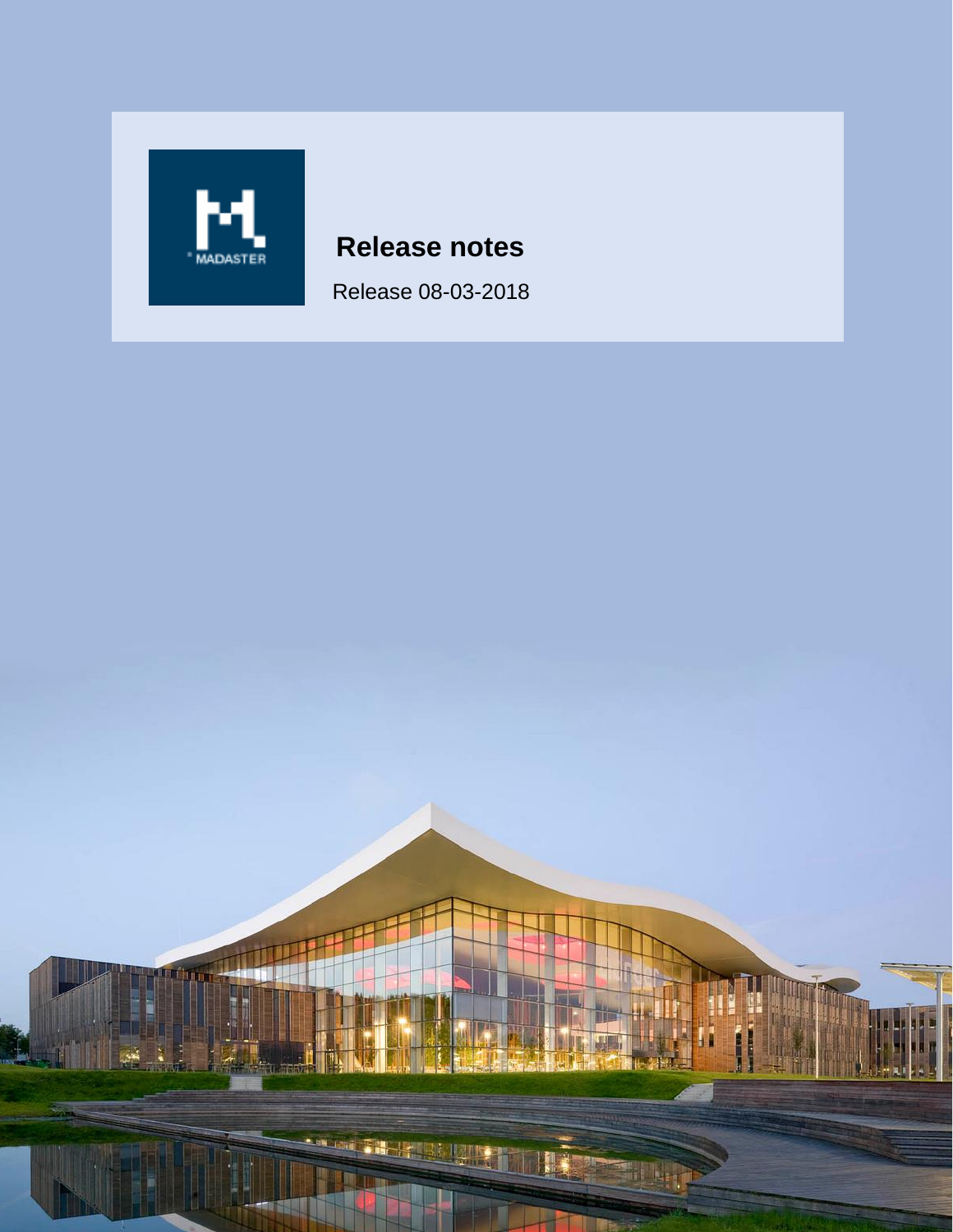

# **Release notes**

Release 08-03-2018

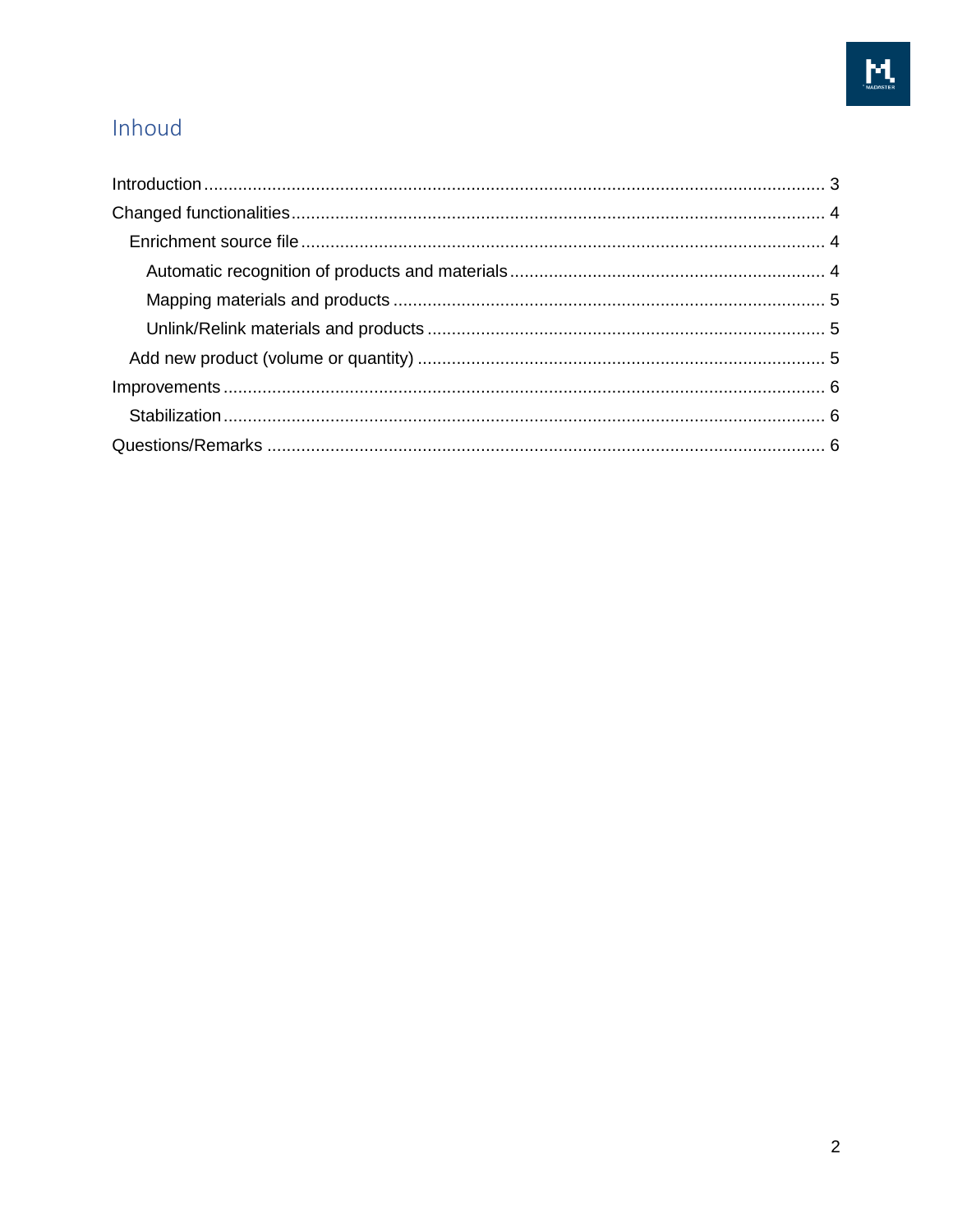# Inhoud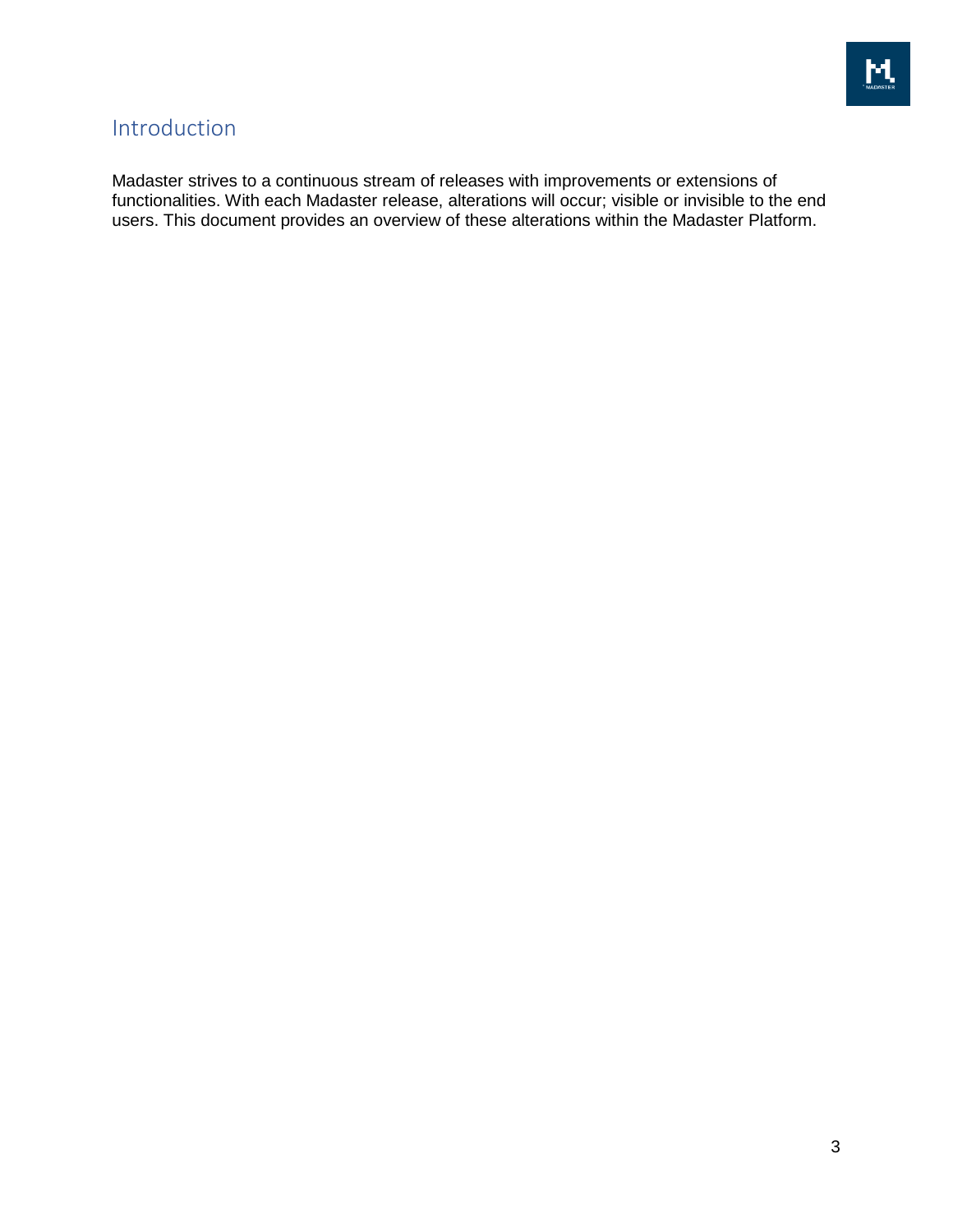

## <span id="page-2-0"></span>Introduction

Madaster strives to a continuous stream of releases with improvements or extensions of functionalities. With each Madaster release, alterations will occur; visible or invisible to the end users. This document provides an overview of these alterations within the Madaster Platform.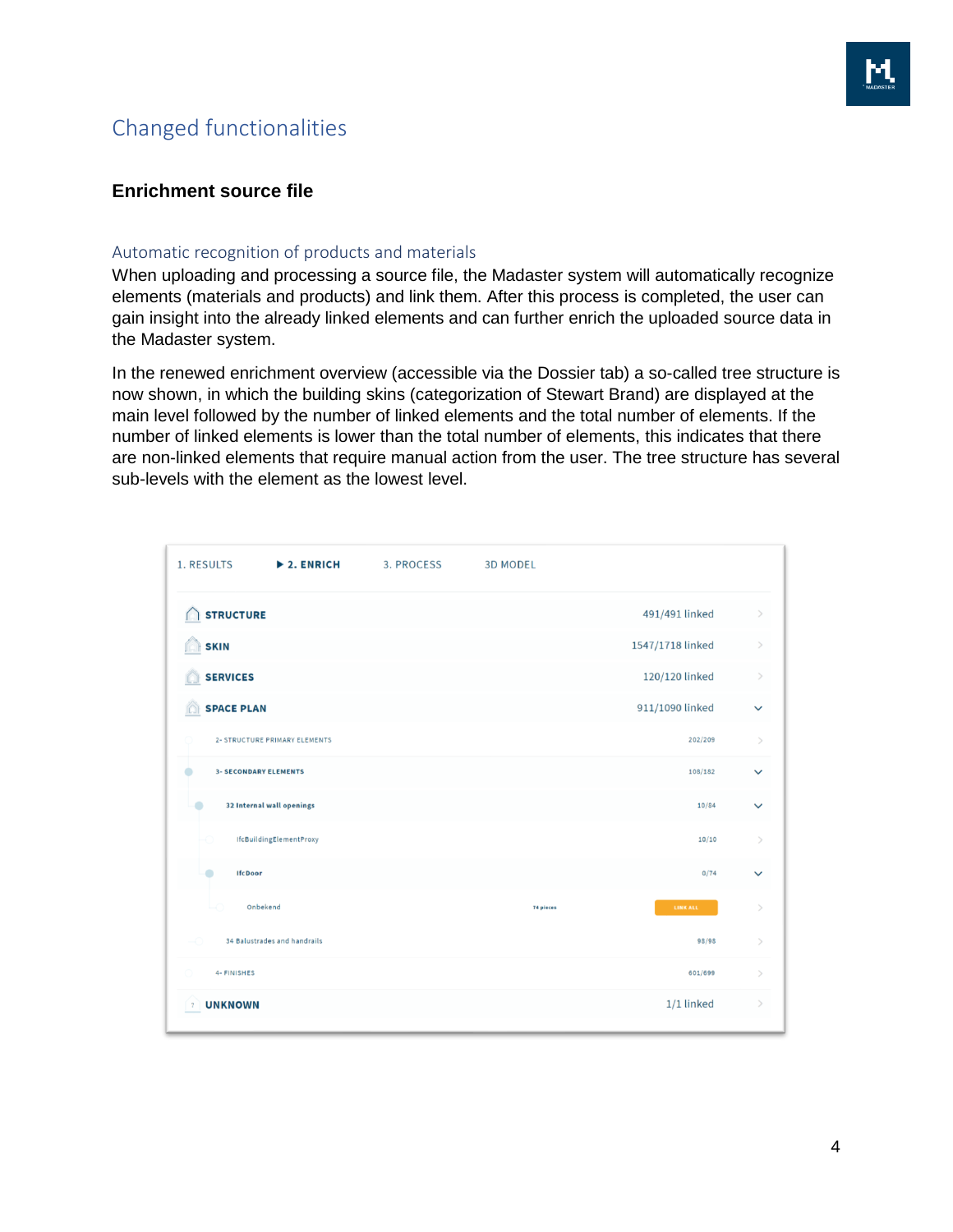# <span id="page-3-0"></span>Changed functionalities



### <span id="page-3-1"></span>**Enrichment source file**

#### <span id="page-3-2"></span>Automatic recognition of products and materials

When uploading and processing a source file, the Madaster system will automatically recognize elements (materials and products) and link them. After this process is completed, the user can gain insight into the already linked elements and can further enrich the uploaded source data in the Madaster system.

In the renewed enrichment overview (accessible via the Dossier tab) a so-called tree structure is now shown, in which the building skins (categorization of Stewart Brand) are displayed at the main level followed by the number of linked elements and the total number of elements. If the number of linked elements is lower than the total number of elements, this indicates that there are non-linked elements that require manual action from the user. The tree structure has several sub-levels with the element as the lowest level.

| 1. RESULTS<br>$\blacktriangleright$ 2. ENRICH | 3. PROCESS | <b>3D MODEL</b> |                  |               |
|-----------------------------------------------|------------|-----------------|------------------|---------------|
| <b>STRUCTURE</b>                              |            |                 | 491/491 linked   | $\,>\,$       |
| <b>SKIN</b><br>ſQ                             |            |                 | 1547/1718 linked | $\,>\,$       |
| <b>SERVICES</b><br>$\Box$                     |            |                 | 120/120 linked   | $\,>\,$       |
| <b>SPACE PLAN</b><br>m                        |            |                 | 911/1090 linked  | $\checkmark$  |
| 2- STRUCTURE PRIMARY ELEMENTS                 |            |                 | 202/209          | $\rightarrow$ |
| ۰<br><b>3- SECONDARY ELEMENTS</b>             |            |                 | 108/182          | $\checkmark$  |
| ۰<br>32 Internal wall openings                |            |                 | 10/84            | $\checkmark$  |
| IfcBuildingElementProxy<br>⊷                  |            |                 | 10/10            | $\mathcal{P}$ |
| ۰<br><b>IfcDoor</b>                           |            |                 | 0/74             | $\checkmark$  |
| Onbekend<br>щ                                 |            | 74 pieces       | <b>LINK ALL</b>  | $\mathcal{P}$ |
| 34 Balustrades and handrails<br>-0            |            |                 | 98/98            | $\mathcal{P}$ |
| 4- FINISHES                                   |            |                 | 601/699          | $\mathcal{P}$ |
| <b>UNKNOWN</b><br>$\sqrt{2}$                  |            |                 | 1/1 linked       | $\,>\,$       |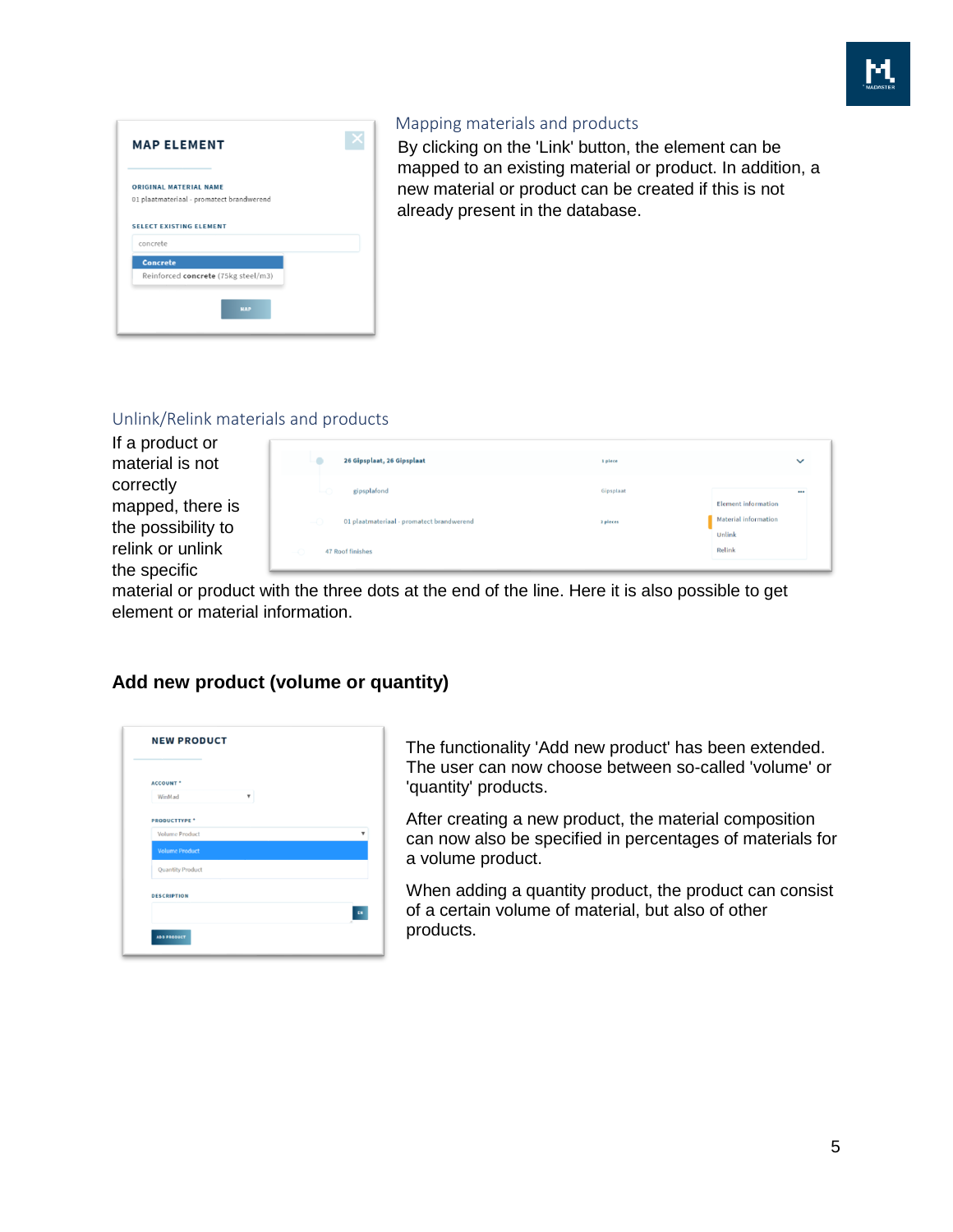

| <b>ORIGINAL MATERIAL NAME</b>  | 01 plaatmateriaal - promatect brandwerend |  |  |
|--------------------------------|-------------------------------------------|--|--|
|                                |                                           |  |  |
| <b>SELECT EXISTING ELEMENT</b> |                                           |  |  |
|                                |                                           |  |  |
| concrete                       |                                           |  |  |
|                                |                                           |  |  |
|                                |                                           |  |  |
| <b>Concrete</b>                | Reinforced concrete (75kg steel/m3)       |  |  |

### <span id="page-4-0"></span>Mapping materials and products

By clicking on the 'Link' button, the element can be mapped to an existing material or product. In addition, a new material or product can be created if this is not already present in the database.

#### <span id="page-4-1"></span>Unlink/Relink materials and products

If a product or material is not correctly mapped, there is the possibility to relink or unlink the specific

| 26 Gipsplaat, 26 Gipsplaat                                            | 1 piece   | $\checkmark$                          |
|-----------------------------------------------------------------------|-----------|---------------------------------------|
| Ŀо<br>gipsplafond                                                     | Gipsplaat | <br><b>Element information</b>        |
| $\overline{\phantom{0}}$<br>01 plaatmateriaal - promatect brandwerend | 2 pleces  | <b>Material information</b><br>Unlink |
| 47 Roof finishes<br>-0                                                |           | Relink                                |

material or product with the three dots at the end of the line. Here it is also possible to get element or material information.

### <span id="page-4-2"></span>**Add new product (volume or quantity)**

| <b>ACCOUNT</b> *        |   |                         |
|-------------------------|---|-------------------------|
| WinMad                  | ۰ |                         |
| <b>PRODUCTTYPE *</b>    |   |                         |
| <b>Volume Product</b>   |   | $\overline{\mathbf{v}}$ |
| <b>Volume Product</b>   |   |                         |
| <b>Quantity Product</b> |   |                         |
| <b>DESCRIPTION</b>      |   |                         |
|                         |   | $\overline{\mathbf{a}}$ |
|                         |   |                         |

The functionality 'Add new product' has been extended. The user can now choose between so-called 'volume' or 'quantity' products.

After creating a new product, the material composition can now also be specified in percentages of materials for a volume product.

When adding a quantity product, the product can consist of a certain volume of material, but also of other products.